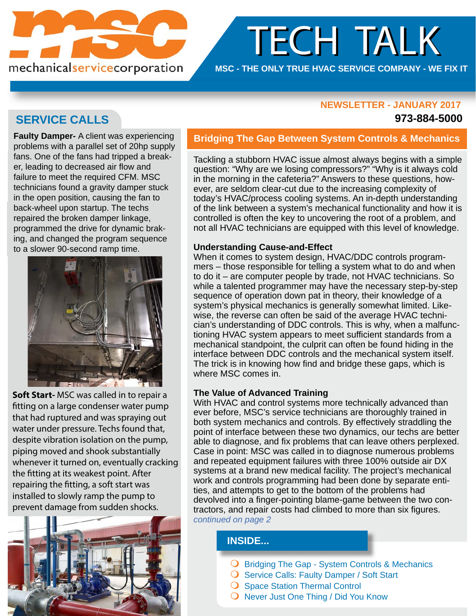

# TECH TALK TECH TALK

## **MSC - THE ONLY TRUE HVAC SERVICE COMPANY - WE FIX IT**

### **NEWSLETTER - JANUARY 2017 NEWSLETTER - JANUARY**

### **973-884-5000**

# **SERVICE CALLS**

**Faulty Damper-** A client was experiencing problems with a parallel set of 20hp supply fans. One of the fans had tripped a breaker, leading to decreased air flow and failure to meet the required CFM. MSC technicians found a gravity damper stuck in the open position, causing the fan to back-wheel upon startup. The techs repaired the broken damper linkage, programmed the drive for dynamic braking, and changed the program sequence to a slower 90-second ramp time.



**Soft Start-** MSC was called in to repair a fitting on a large condenser water pump that had ruptured and was spraying out water under pressure. Techs found that, despite vibration isolation on the pump, piping moved and shook substantially whenever it turned on, eventually cracking the fitting at its weakest point. After repairing the fitting, a soft start was installed to slowly ramp the pump to prevent damage from sudden shocks.



## **Bridging The Gap Between System Controls & Mechanics**

Tackling a stubborn HVAC issue almost always begins with a simple question: "Why are we losing compressors?" "Why is it always cold in the morning in the cafeteria?" Answers to these questions, however, are seldom clear-cut due to the increasing complexity of today's HVAC/process cooling systems. An in-depth understanding of the link between a system's mechanical functionality and how it is controlled is often the key to uncovering the root of a problem, and not all HVAC technicians are equipped with this level of knowledge.

### **Understanding Cause-and-Effect**

When it comes to system design, HVAC/DDC controls programmers – those responsible for telling a system what to do and when to do it – are computer people by trade, not HVAC technicians. So while a talented programmer may have the necessary step-by-step sequence of operation down pat in theory, their knowledge of a system's physical mechanics is generally somewhat limited. Likewise, the reverse can often be said of the average HVAC technician's understanding of DDC controls. This is why, when a malfunctioning HVAC system appears to meet sufficient standards from a mechanical standpoint, the culprit can often be found hiding in the interface between DDC controls and the mechanical system itself. The trick is in knowing how find and bridge these gaps, which is where MSC comes in.

### **The Value of Advanced Training**

With HVAC and control systems more technically advanced than ever before, MSC's service technicians are thoroughly trained in both system mechanics and controls. By effectively straddling the point of interface between these two dynamics, our techs are better able to diagnose, and fix problems that can leave others perplexed. Case in point: MSC was called in to diagnose numerous problems and repeated equipment failures with three 100% outside air DX systems at a brand new medical facility. The project's mechanical work and controls programming had been done by separate entities, and attempts to get to the bottom of the problems had devolved into a finger-pointing blame-game between the two contractors, and repair costs had climbed to more than six figures. *continued on page 2*

# **INSIDE...**

- O Bridging The Gap System Controls & Mechanics
- O Service Calls: Faulty Damper / Soft Start
- **O** Space Station Thermal Control
- $\bigcirc$  Never Just One Thing / Did You Know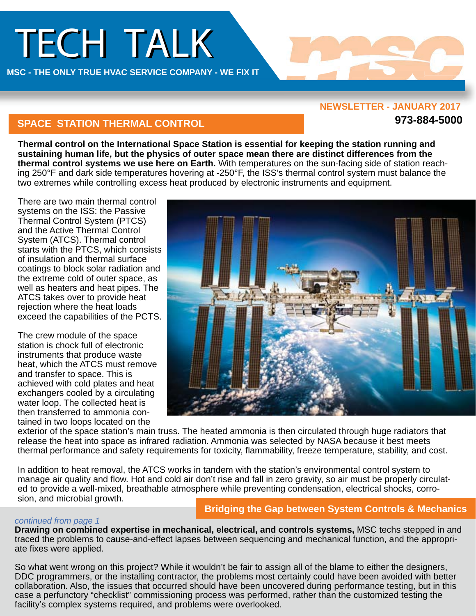# TECH TALK

**MSC - THE ONLY TRUE HVAC SERVICE COMPANY - WE FIX IT** 

#### **NEWSLETTER - JANUARY 2017**

**973-884-5000**

# **SPACE STATION THERMAL CONTROL**

**Thermal control on the International Space Station is essential for keeping the station running and sustaining human life, but the physics of outer space mean there are distinct differences from the thermal control systems we use here on Earth.** With temperatures on the sun-facing side of station reaching 250°F and dark side temperatures hovering at -250°F, the ISS's thermal control system must balance the two extremes while controlling excess heat produced by electronic instruments and equipment.

There are two main thermal control systems on the ISS: the Passive Thermal Control System (PTCS) and the Active Thermal Control System (ATCS). Thermal control starts with the PTCS, which consists of insulation and thermal surface coatings to block solar radiation and the extreme cold of outer space, as well as heaters and heat pipes. The ATCS takes over to provide heat rejection where the heat loads exceed the capabilities of the PCTS.

The crew module of the space station is chock full of electronic instruments that produce waste heat, which the ATCS must remove and transfer to space. This is achieved with cold plates and heat exchangers cooled by a circulating water loop. The collected heat is then transferred to ammonia contained in two loops located on the



exterior of the space station's main truss. The heated ammonia is then circulated through huge radiators that release the heat into space as infrared radiation. Ammonia was selected by NASA because it best meets thermal performance and safety requirements for toxicity, flammability, freeze temperature, stability, and cost.

In addition to heat removal, the ATCS works in tandem with the station's environmental control system to manage air quality and flow. Hot and cold air don't rise and fall in zero gravity, so air must be properly circulated to provide a well-mixed, breathable atmosphere while preventing condensation, electrical shocks, corrosion, and microbial growth.

# **Bridging the Gap between System Controls & Mechanics**

### *continued from page 1*

**Drawing on combined expertise in mechanical, electrical, and controls systems,** MSC techs stepped in and traced the problems to cause-and-effect lapses between sequencing and mechanical function, and the appropriate fixes were applied.

So what went wrong on this project? While it wouldn't be fair to assign all of the blame to either the designers, DDC programmers, or the installing contractor, the problems most certainly could have been avoided with better collaboration. Also, the issues that occurred should have been uncovered during performance testing, but in this case a perfunctory "checklist" commissioning process was performed, rather than the customized testing the [facility's complex systems required, and prob](http://www.mscnj.com/pdf/labs-fiber-tower-project.pdf)lems were overlooked.